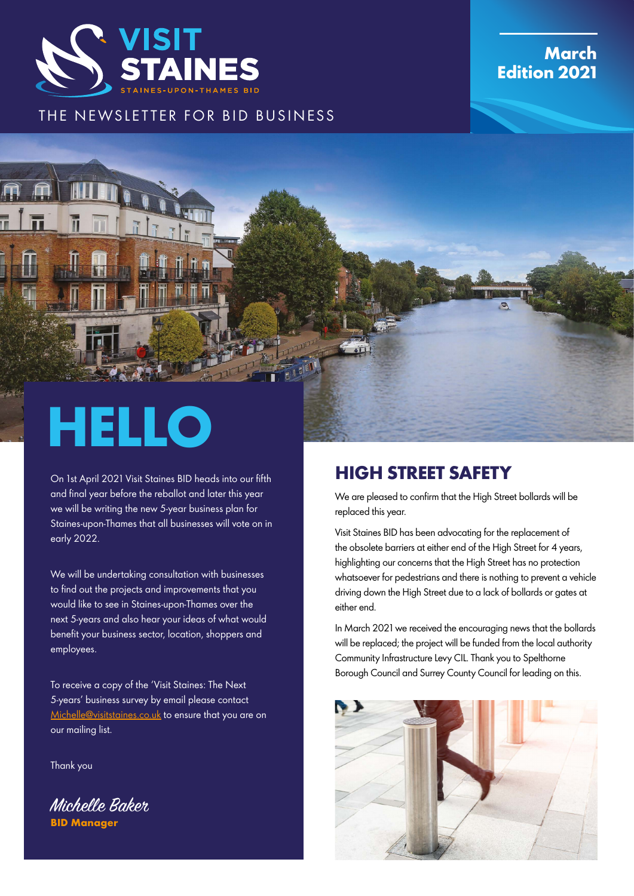

### **March Edition 2021**

#### THE NEWSLETTER FOR BID BUSINESS



On 1st April 2021 Visit Staines BID heads into our fifth and final year before the reballot and later this year we will be writing the new 5-year business plan for Staines-upon-Thames that all businesses will vote on in early 2022.

We will be undertaking consultation with businesses to find out the projects and improvements that you would like to see in Staines-upon-Thames over the next 5-years and also hear your ideas of what would benefit your business sector, location, shoppers and employees.

To receive a copy of the 'Visit Staines: The Next 5-years' business survey by email please contact [Michelle@visitstaines.co.uk](mailto:Michelle%40visitstaines.co.uk?subject=) to ensure that you are on our mailing list.

Thank you

Michelle Baker **BID Manager**

## **HIGH STREET SAFETY**

We are pleased to confirm that the High Street bollards will be replaced this year.

Visit Staines BID has been advocating for the replacement of the obsolete barriers at either end of the High Street for 4 years, highlighting our concerns that the High Street has no protection whatsoever for pedestrians and there is nothing to prevent a vehicle driving down the High Street due to a lack of bollards or gates at either end.

In March 2021 we received the encouraging news that the bollards will be replaced; the project will be funded from the local authority Community Infrastructure Levy CIL. Thank you to Spelthorne Borough Council and Surrey County Council for leading on this.

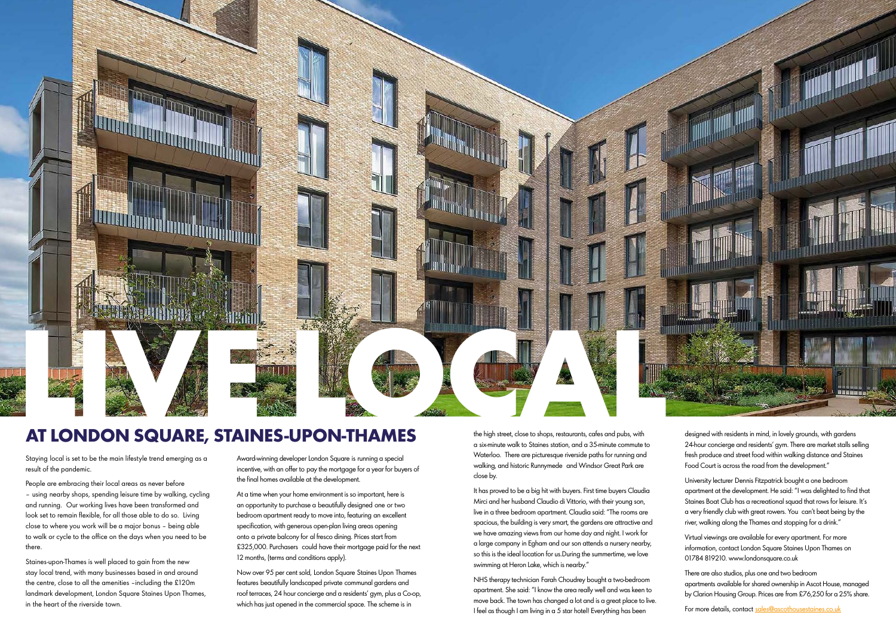Staying local is set to be the main lifestyle trend emerging as a result of the pandemic.

People are embracing their local areas as never before – using nearby shops, spending leisure time by walking, cycling and running. Our working lives have been transformed and look set to remain flexible, for all those able to do so. Living close to where you work will be a major bonus – being able to walk or cycle to the office on the days when you need to be there.

Staines-upon-Thames is well placed to gain from the new stay local trend, with many businesses based in and around the centre, close to all the amenities –including the £120m landmark development, London Square Staines Upon Thames, in the heart of the riverside town.

the high street, close to shops, restaurants, cafes and pubs, with a six-minute walk to Staines station, and a 35-minute commute to Waterloo. There are picturesque riverside paths for running and walking, and historic Runnymede and Windsor Great Park are close by.

It has proved to be a big hit with buyers. First time buyers Claudia Mirci and her husband Claudio di Vittorio, with their young son, live in a three bedroom apartment. Claudia said: "The rooms are spacious, the building is very smart, the gardens are attractive and we have amazing views from our home day and night. I work for a large company in Egham and our son attends a nursery nearby, so this is the ideal location for us.During the summertime, we love swimming at Heron Lake, which is nearby."

NHS therapy technician Farah Choudrey bought a two-bedroom apartment. She said: "I know the area really well and was keen to move back. The town has changed a lot and is a great place to live. I feel as though I am living in a 5 star hotel! Everything has been

Award-winning developer London Square is running a special incentive, with an offer to pay the mortgage for a year for buyers of the final homes available at the development.

At a time when your home environment is so important, here is an opportunity to purchase a beautifully designed one or two bedroom apartment ready to move into, featuring an excellent specification, with generous open-plan living areas opening onto a private balcony for al fresco dining. Prices start from £325,000. Purchasers could have their mortgage paid for the next 12 months, (terms and conditions apply).

Now over 95 per cent sold, London Square Staines Upon Thames features beautifully landscaped private communal gardens and roof terraces, 24 hour concierge and a residents' gym, plus a Co-op, which has just opened in the commercial space. The scheme is in

designed with residents in mind, in lovely grounds, with gardens 24-hour concierge and residents' gym. There are market stalls selling fresh produce and street food within walking distance and Staines Food Court is across the road from the development."

University lecturer Dennis Fitzpatrick bought a one bedroom apartment at the development. He said: "I was delighted to find that Staines Boat Club has a recreational squad that rows for leisure. It's a very friendly club with great rowers. You can't beat being by the river, walking along the Thames and stopping for a drink."

Virtual viewings are available for every apartment. For more information, contact London Square Staines Upon Thames on 01784 819210. www.londonsquare.co.uk

There are also studios, plus one and two bedroom apartments available for shared ownership in Ascot House, managed by Clarion Housing Group. Prices are from £76,250 for a 25% share.

For more details, contact [sales@ascothousestaines.co.uk](mailto:sales%40ascothousestaines.co.uk?subject=)



# **AT LONDON SQUARE, STAINES-UPON-THAMES**